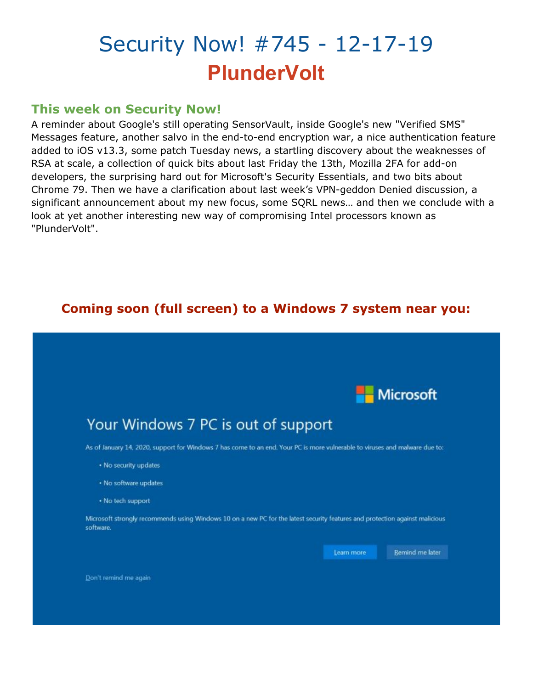# Security Now! #745 - 12-17-19 **PlunderVolt**

## **This week on Security Now!**

A reminder about Google's still operating SensorVault, inside Google's new "Verified SMS" Messages feature, another salvo in the end-to-end encryption war, a nice authentication feature added to iOS v13.3, some patch Tuesday news, a startling discovery about the weaknesses of RSA at scale, a collection of quick bits about last Friday the 13th, Mozilla 2FA for add-on developers, the surprising hard out for Microsoft's Security Essentials, and two bits about Chrome 79. Then we have a clarification about last week's VPN-geddon Denied discussion, a significant announcement about my new focus, some SQRL news… and then we conclude with a look at yet another interesting new way of compromising Intel processors known as "PlunderVolt".

# **Coming soon (full screen) to a Windows 7 system near you:**

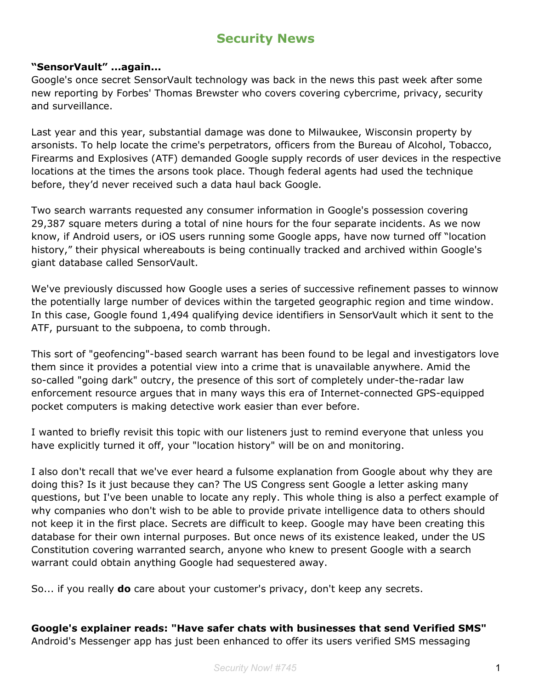# **Security News**

#### **"SensorVault" ...again...**

Google's once secret SensorVault technology was back in the news this past week after some new reporting by Forbes' Thomas Brewster who covers covering cybercrime, privacy, security and surveillance.

Last year and this year, substantial damage was done to Milwaukee, Wisconsin property by arsonists. To help locate the crime's perpetrators, officers from the Bureau of Alcohol, Tobacco, Firearms and Explosives (ATF) demanded Google supply records of user devices in the respective locations at the times the arsons took place. Though federal agents had used the technique before, they'd never received such a data haul back Google.

Two search warrants requested any consumer information in Google's possession covering 29,387 square meters during a total of nine hours for the four separate incidents. As we now know, if Android users, or iOS users running some Google apps, have now turned off "location history," their physical whereabouts is being continually tracked and archived within Google's giant database called SensorVault.

We've previously discussed how Google uses a series of successive refinement passes to winnow the potentially large number of devices within the targeted geographic region and time window. In this case, Google found 1,494 qualifying device identifiers in SensorVault which it sent to the ATF, pursuant to the subpoena, to comb through.

This sort of "geofencing"-based search warrant has been found to be legal and investigators love them since it provides a potential view into a crime that is unavailable anywhere. Amid the so-called "going dark" outcry, the presence of this sort of completely under-the-radar law enforcement resource argues that in many ways this era of Internet-connected GPS-equipped pocket computers is making detective work easier than ever before.

I wanted to briefly revisit this topic with our listeners just to remind everyone that unless you have explicitly turned it off, your "location history" will be on and monitoring.

I also don't recall that we've ever heard a fulsome explanation from Google about why they are doing this? Is it just because they can? The US Congress sent Google a letter asking many questions, but I've been unable to locate any reply. This whole thing is also a perfect example of why companies who don't wish to be able to provide private intelligence data to others should not keep it in the first place. Secrets are difficult to keep. Google may have been creating this database for their own internal purposes. But once news of its existence leaked, under the US Constitution covering warranted search, anyone who knew to present Google with a search warrant could obtain anything Google had sequestered away.

So... if you really **do** care about your customer's privacy, don't keep any secrets.

#### **Google's explainer reads: "Have safer chats with businesses that send Verified SMS"**

Android's Messenger app has just been enhanced to offer its users verified SMS messaging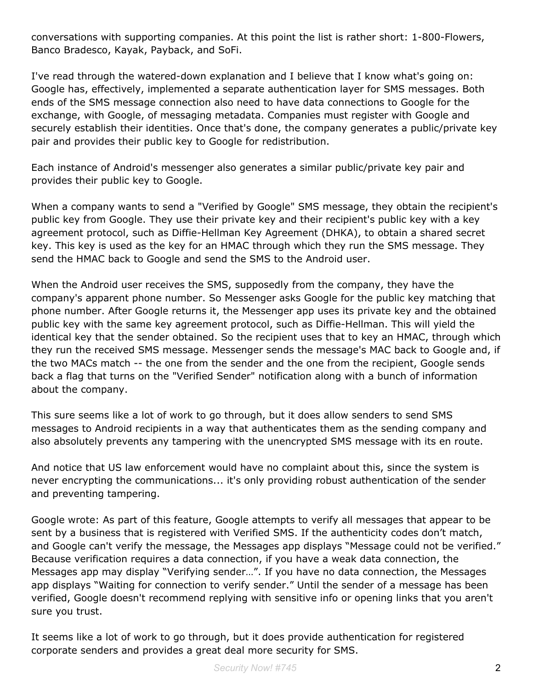conversations with supporting companies. At this point the list is rather short: 1-800-Flowers, Banco Bradesco, Kayak, Payback, and SoFi.

I've read through the watered-down explanation and I believe that I know what's going on: Google has, effectively, implemented a separate authentication layer for SMS messages. Both ends of the SMS message connection also need to have data connections to Google for the exchange, with Google, of messaging metadata. Companies must register with Google and securely establish their identities. Once that's done, the company generates a public/private key pair and provides their public key to Google for redistribution.

Each instance of Android's messenger also generates a similar public/private key pair and provides their public key to Google.

When a company wants to send a "Verified by Google" SMS message, they obtain the recipient's public key from Google. They use their private key and their recipient's public key with a key agreement protocol, such as Diffie-Hellman Key Agreement (DHKA), to obtain a shared secret key. This key is used as the key for an HMAC through which they run the SMS message. They send the HMAC back to Google and send the SMS to the Android user.

When the Android user receives the SMS, supposedly from the company, they have the company's apparent phone number. So Messenger asks Google for the public key matching that phone number. After Google returns it, the Messenger app uses its private key and the obtained public key with the same key agreement protocol, such as Diffie-Hellman. This will yield the identical key that the sender obtained. So the recipient uses that to key an HMAC, through which they run the received SMS message. Messenger sends the message's MAC back to Google and, if the two MACs match -- the one from the sender and the one from the recipient, Google sends back a flag that turns on the "Verified Sender" notification along with a bunch of information about the company.

This sure seems like a lot of work to go through, but it does allow senders to send SMS messages to Android recipients in a way that authenticates them as the sending company and also absolutely prevents any tampering with the unencrypted SMS message with its en route.

And notice that US law enforcement would have no complaint about this, since the system is never encrypting the communications... it's only providing robust authentication of the sender and preventing tampering.

Google wrote: As part of this feature, Google attempts to verify all messages that appear to be sent by a business that is registered with Verified SMS. If the authenticity codes don't match, and Google can't verify the message, the Messages app displays "Message could not be verified." Because verification requires a data connection, if you have a weak data connection, the Messages app may display "Verifying sender…". If you have no data connection, the Messages app displays "Waiting for connection to verify sender." Until the sender of a message has been verified, Google doesn't recommend replying with sensitive info or opening links that you aren't sure you trust.

It seems like a lot of work to go through, but it does provide authentication for registered corporate senders and provides a great deal more security for SMS.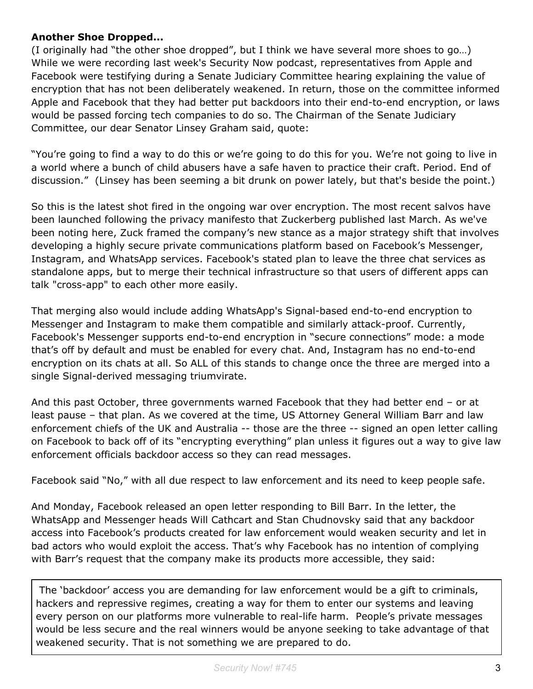### **Another Shoe Dropped...**

(I originally had "the other shoe dropped", but I think we have several more shoes to go…) While we were recording last week's Security Now podcast, representatives from Apple and Facebook were testifying during a Senate Judiciary Committee hearing explaining the value of encryption that has not been deliberately weakened. In return, those on the committee informed Apple and Facebook that they had better put backdoors into their end-to-end encryption, or laws would be passed forcing tech companies to do so. The Chairman of the Senate Judiciary Committee, our dear Senator Linsey Graham said, quote:

"You're going to find a way to do this or we're going to do this for you. We're not going to live in a world where a bunch of child abusers have a safe haven to practice their craft. Period. End of discussion." (Linsey has been seeming a bit drunk on power lately, but that's beside the point.)

So this is the latest shot fired in the ongoing war over encryption. The most recent salvos have been launched following the privacy manifesto that Zuckerberg published last March. As we've been noting here, Zuck framed the company's new stance as a major strategy shift that involves developing a highly secure private communications platform based on Facebook's Messenger, Instagram, and WhatsApp services. Facebook's stated plan to leave the three chat services as standalone apps, but to merge their technical infrastructure so that users of different apps can talk "cross-app" to each other more easily.

That merging also would include adding WhatsApp's Signal-based end-to-end encryption to Messenger and Instagram to make them compatible and similarly attack-proof. Currently, Facebook's Messenger supports end-to-end encryption in "secure connections" mode: a mode that's off by default and must be enabled for every chat. And, Instagram has no end-to-end encryption on its chats at all. So ALL of this stands to change once the three are merged into a single Signal-derived messaging triumvirate.

And this past October, three governments warned Facebook that they had better end – or at least pause – that plan. As we covered at the time, US Attorney General William Barr and law enforcement chiefs of the UK and Australia -- those are the three -- signed an open letter calling on Facebook to back off of its "encrypting everything" plan unless it figures out a way to give law enforcement officials backdoor access so they can read messages.

Facebook said "No," with all due respect to law enforcement and its need to keep people safe.

And Monday, Facebook released an open letter responding to Bill Barr. In the letter, the WhatsApp and Messenger heads Will Cathcart and Stan Chudnovsky said that any backdoor access into Facebook's products created for law enforcement would weaken security and let in bad actors who would exploit the access. That's why Facebook has no intention of complying with Barr's request that the company make its products more accessible, they said:

The 'backdoor' access you are demanding for law enforcement would be a gift to criminals, hackers and repressive regimes, creating a way for them to enter our systems and leaving every person on our platforms more vulnerable to real-life harm. People's private messages would be less secure and the real winners would be anyone seeking to take advantage of that weakened security. That is not something we are prepared to do.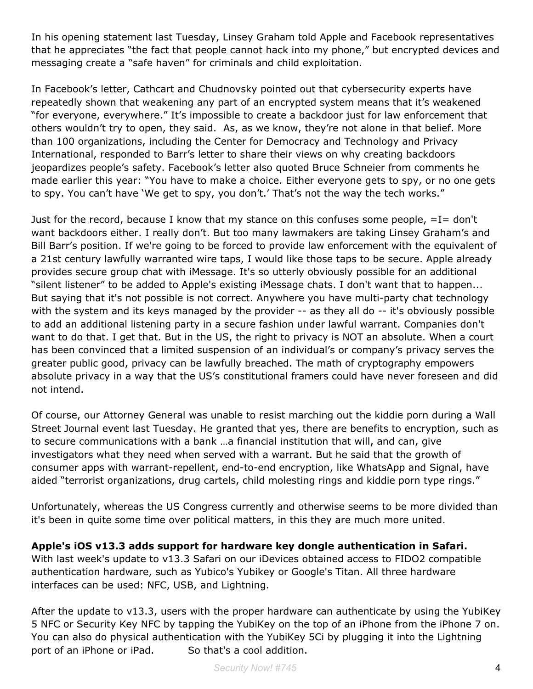In his opening statement last Tuesday, Linsey Graham told Apple and Facebook representatives that he appreciates "the fact that people cannot hack into my phone," but encrypted devices and messaging create a "safe haven" for criminals and child exploitation.

In Facebook's letter, Cathcart and Chudnovsky pointed out that cybersecurity experts have repeatedly shown that weakening any part of an encrypted system means that it's weakened "for everyone, everywhere." It's impossible to create a backdoor just for law enforcement that others wouldn't try to open, they said. As, as we know, they're not alone in that belief. More than 100 organizations, including the Center for Democracy and Technology and Privacy International, responded to Barr's letter to share their views on why creating backdoors jeopardizes people's safety. Facebook's letter also quoted Bruce Schneier from comments he made earlier this year: "You have to make a choice. Either everyone gets to spy, or no one gets to spy. You can't have 'We get to spy, you don't.' That's not the way the tech works."

Just for the record, because I know that my stance on this confuses some people,  $=I=$  don't want backdoors either. I really don't. But too many lawmakers are taking Linsey Graham's and Bill Barr's position. If we're going to be forced to provide law enforcement with the equivalent of a 21st century lawfully warranted wire taps, I would like those taps to be secure. Apple already provides secure group chat with iMessage. It's so utterly obviously possible for an additional "silent listener" to be added to Apple's existing iMessage chats. I don't want that to happen... But saying that it's not possible is not correct. Anywhere you have multi-party chat technology with the system and its keys managed by the provider -- as they all do -- it's obviously possible to add an additional listening party in a secure fashion under lawful warrant. Companies don't want to do that. I get that. But in the US, the right to privacy is NOT an absolute. When a court has been convinced that a limited suspension of an individual's or company's privacy serves the greater public good, privacy can be lawfully breached. The math of cryptography empowers absolute privacy in a way that the US's constitutional framers could have never foreseen and did not intend.

Of course, our Attorney General was unable to resist marching out the kiddie porn during a Wall Street Journal event last Tuesday. He granted that yes, there are benefits to encryption, such as to secure communications with a bank …a financial institution that will, and can, give investigators what they need when served with a warrant. But he said that the growth of consumer apps with warrant-repellent, end-to-end encryption, like WhatsApp and Signal, have aided "terrorist organizations, drug cartels, child molesting rings and kiddie porn type rings."

Unfortunately, whereas the US Congress currently and otherwise seems to be more divided than it's been in quite some time over political matters, in this they are much more united.

**Apple's iOS v13.3 adds support for hardware key dongle authentication in Safari.**

With last week's update to v13.3 Safari on our iDevices obtained access to FIDO2 compatible authentication hardware, such as Yubico's Yubikey or Google's Titan. All three hardware interfaces can be used: NFC, USB, and Lightning.

After the update to v13.3, users with the proper hardware can authenticate by using the YubiKey 5 NFC or Security Key NFC by tapping the YubiKey on the top of an iPhone from the iPhone 7 on. You can also do physical authentication with the YubiKey 5Ci by plugging it into the Lightning port of an iPhone or iPad. So that's a cool addition.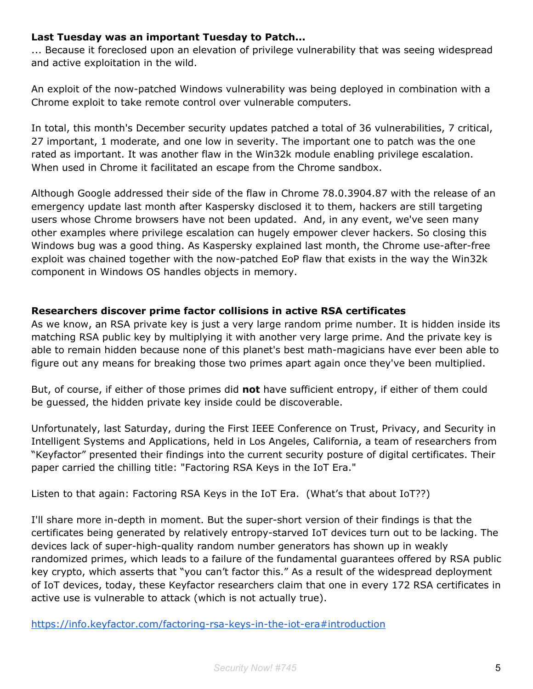### **Last Tuesday was an important Tuesday to Patch...**

... Because it foreclosed upon an elevation of privilege vulnerability that was seeing widespread and active exploitation in the wild.

An exploit of the now-patched Windows vulnerability was being deployed in combination with a Chrome exploit to take remote control over vulnerable computers.

In total, this month's December security updates patched a total of 36 vulnerabilities, 7 critical, 27 important, 1 moderate, and one low in severity. The important one to patch was the one rated as important. It was another flaw in the Win32k module enabling privilege escalation. When used in Chrome it facilitated an escape from the Chrome sandbox.

Although Google addressed their side of the flaw in Chrome 78.0.3904.87 with the release of an emergency update last month after Kaspersky disclosed it to them, hackers are still targeting users whose Chrome browsers have not been updated. And, in any event, we've seen many other examples where privilege escalation can hugely empower clever hackers. So closing this Windows bug was a good thing. As Kaspersky explained last month, the Chrome use-after-free exploit was chained together with the now-patched EoP flaw that exists in the way the Win32k component in Windows OS handles objects in memory.

### **Researchers discover prime factor collisions in active RSA certificates**

As we know, an RSA private key is just a very large random prime number. It is hidden inside its matching RSA public key by multiplying it with another very large prime. And the private key is able to remain hidden because none of this planet's best math-magicians have ever been able to figure out any means for breaking those two primes apart again once they've been multiplied.

But, of course, if either of those primes did **not** have sufficient entropy, if either of them could be guessed, the hidden private key inside could be discoverable.

Unfortunately, last Saturday, during the First IEEE Conference on Trust, Privacy, and Security in Intelligent Systems and Applications, held in Los Angeles, California, a team of researchers from "Keyfactor" presented their findings into the current security posture of digital certificates. Their paper carried the chilling title: "Factoring RSA Keys in the IoT Era."

Listen to that again: Factoring RSA Keys in the IoT Era. (What's that about IoT??)

I'll share more in-depth in moment. But the super-short version of their findings is that the certificates being generated by relatively entropy-starved IoT devices turn out to be lacking. The devices lack of super-high-quality random number generators has shown up in weakly randomized primes, which leads to a failure of the fundamental guarantees offered by RSA public key crypto, which asserts that "you can't factor this." As a result of the widespread deployment of IoT devices, today, these Keyfactor researchers claim that one in every 172 RSA certificates in active use is vulnerable to attack (which is not actually true).

<https://info.keyfactor.com/factoring-rsa-keys-in-the-iot-era#introduction>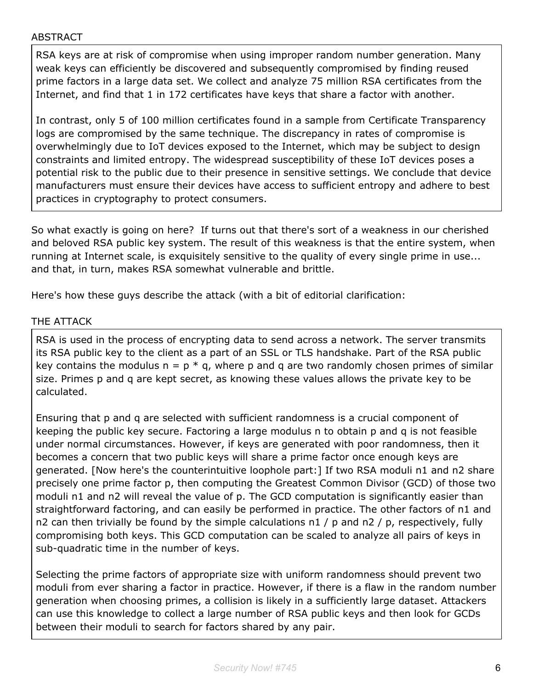#### ABSTRACT

RSA keys are at risk of compromise when using improper random number generation. Many weak keys can efficiently be discovered and subsequently compromised by finding reused prime factors in a large data set. We collect and analyze 75 million RSA certificates from the Internet, and find that 1 in 172 certificates have keys that share a factor with another.

In contrast, only 5 of 100 million certificates found in a sample from Certificate Transparency logs are compromised by the same technique. The discrepancy in rates of compromise is overwhelmingly due to IoT devices exposed to the Internet, which may be subject to design constraints and limited entropy. The widespread susceptibility of these IoT devices poses a potential risk to the public due to their presence in sensitive settings. We conclude that device manufacturers must ensure their devices have access to sufficient entropy and adhere to best practices in cryptography to protect consumers.

So what exactly is going on here? If turns out that there's sort of a weakness in our cherished and beloved RSA public key system. The result of this weakness is that the entire system, when running at Internet scale, is exquisitely sensitive to the quality of every single prime in use... and that, in turn, makes RSA somewhat vulnerable and brittle.

Here's how these guys describe the attack (with a bit of editorial clarification:

#### THE ATTACK

RSA is used in the process of encrypting data to send across a network. The server transmits its RSA public key to the client as a part of an SSL or TLS handshake. Part of the RSA public key contains the modulus  $n = p * q$ , where p and q are two randomly chosen primes of similar size. Primes p and q are kept secret, as knowing these values allows the private key to be calculated.

Ensuring that p and q are selected with sufficient randomness is a crucial component of keeping the public key secure. Factoring a large modulus n to obtain p and q is not feasible under normal circumstances. However, if keys are generated with poor randomness, then it becomes a concern that two public keys will share a prime factor once enough keys are generated. [Now here's the counterintuitive loophole part:] If two RSA moduli n1 and n2 share precisely one prime factor p, then computing the Greatest Common Divisor (GCD) of those two moduli n1 and n2 will reveal the value of p. The GCD computation is significantly easier than straightforward factoring, and can easily be performed in practice. The other factors of n1 and n2 can then trivially be found by the simple calculations  $n1 / p$  and  $n2 / p$ , respectively, fully compromising both keys. This GCD computation can be scaled to analyze all pairs of keys in sub-quadratic time in the number of keys.

Selecting the prime factors of appropriate size with uniform randomness should prevent two moduli from ever sharing a factor in practice. However, if there is a flaw in the random number generation when choosing primes, a collision is likely in a sufficiently large dataset. Attackers can use this knowledge to collect a large number of RSA public keys and then look for GCDs between their moduli to search for factors shared by any pair.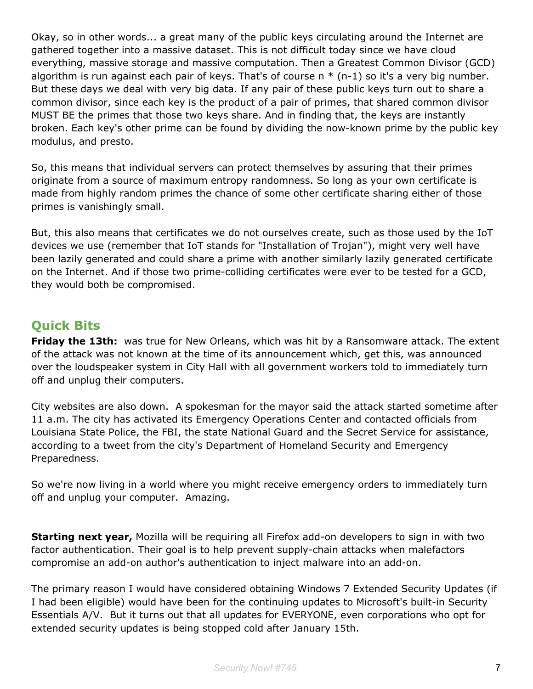Okay, so in other words... a great many of the public keys circulating around the Internet are gathered together into a massive dataset. This is not difficult today since we have cloud everything, massive storage and massive computation. Then a Greatest Common Divisor (GCD) algorithm is run against each pair of keys. That's of course  $n * (n-1)$  so it's a very big number. But these days we deal with very big data. If any pair of these public keys turn out to share a common divisor, since each key is the product of a pair of primes, that shared common divisor MUST BE the primes that those two keys share. And in finding that, the keys are instantly broken. Each key's other prime can be found by dividing the now-known prime by the public key modulus, and presto.

So, this means that individual servers can protect themselves by assuring that their primes originate from a source of maximum entropy randomness. So long as your own certificate is made from highly random primes the chance of some other certificate sharing either of those primes is vanishingly small.

But, this also means that certificates we do not ourselves create, such as those used by the IoT devices we use (remember that IoT stands for "Installation of Trojan"), might very well have been lazily generated and could share a prime with another similarly lazily generated certificate on the Internet. And if those two prime-colliding certificates were ever to be tested for a GCD, they would both be compromised.

# **Quick Bits**

**Friday the 13th:** was true for New Orleans, which was hit by a Ransomware attack. The extent of the attack was not known at the time of its announcement which, get this, was announced over the loudspeaker system in City Hall with all government workers told to immediately turn off and unplug their computers.

City websites are also down. A spokesman for the mayor said the attack started sometime after 11 a.m. The city has activated its Emergency Operations Center and contacted officials from Louisiana State Police, the FBI, the state National Guard and the Secret Service for assistance, according to a tweet from the city's Department of Homeland Security and Emergency Preparedness.

So we're now living in a world where you might receive emergency orders to immediately turn off and unplug your computer. Amazing.

**Starting next year,** Mozilla will be requiring all Firefox add-on developers to sign in with two factor authentication. Their goal is to help prevent supply-chain attacks when malefactors compromise an add-on author's authentication to inject malware into an add-on.

The primary reason I would have considered obtaining Windows 7 Extended Security Updates (if I had been eligible) would have been for the continuing updates to Microsoft's built-in Security Essentials A/V. But it turns out that all updates for EVERYONE, even corporations who opt for extended security updates is being stopped cold after January 15th.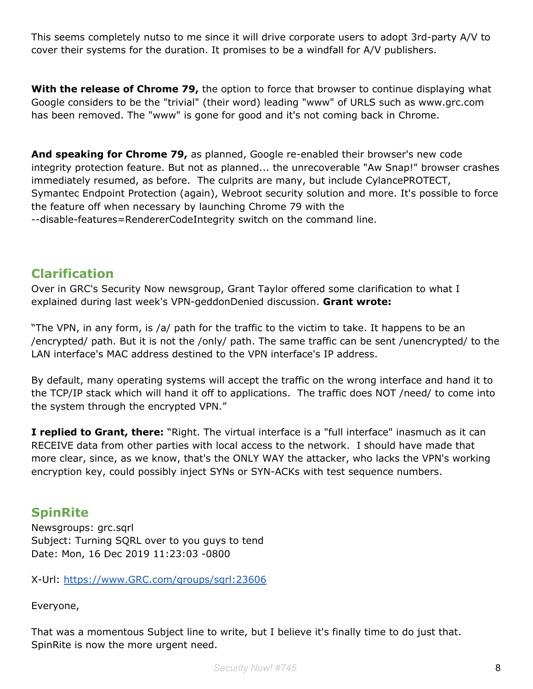This seems completely nutso to me since it will drive corporate users to adopt 3rd-party A/V to cover their systems for the duration. It promises to be a windfall for A/V publishers.

**With the release of Chrome 79,** the option to force that browser to continue displaying what Google considers to be the "trivial" (their word) leading "www" of URLS such as www.grc.com has been removed. The "www" is gone for good and it's not coming back in Chrome.

**And speaking for Chrome 79,** as planned, Google re-enabled their browser's new code integrity protection feature. But not as planned... the unrecoverable "Aw Snap!" browser crashes immediately resumed, as before. The culprits are many, but include CylancePROTECT, Symantec Endpoint Protection (again), Webroot security solution and more. It's possible to force the feature off when necessary by launching Chrome 79 with the --disable-features=RendererCodeIntegrity switch on the command line.

# **Clarification**

Over in GRC's Security Now newsgroup, Grant Taylor offered some clarification to what I explained during last week's VPN-geddonDenied discussion. **Grant wrote:**

"The VPN, in any form, is /a/ path for the traffic to the victim to take. It happens to be an /encrypted/ path. But it is not the /only/ path. The same traffic can be sent /unencrypted/ to the LAN interface's MAC address destined to the VPN interface's IP address.

By default, many operating systems will accept the traffic on the wrong interface and hand it to the TCP/IP stack which will hand it off to applications. The traffic does NOT /need/ to come into the system through the encrypted VPN."

**I replied to Grant, there:** "Right. The virtual interface is a "full interface" inasmuch as it can RECEIVE data from other parties with local access to the network. I should have made that more clear, since, as we know, that's the ONLY WAY the attacker, who lacks the VPN's working encryption key, could possibly inject SYNs or SYN-ACKs with test sequence numbers.

# **SpinRite**

Newsgroups: grc.sqrl Subject: Turning SQRL over to you guys to tend Date: Mon, 16 Dec 2019 11:23:03 -0800

X-Url: [https://www.GRC.com/groups/sqrl:23606](https://www.grc.com/groups/sqrl:23606)

Everyone,

That was a momentous Subject line to write, but I believe it's finally time to do just that. SpinRite is now the more urgent need.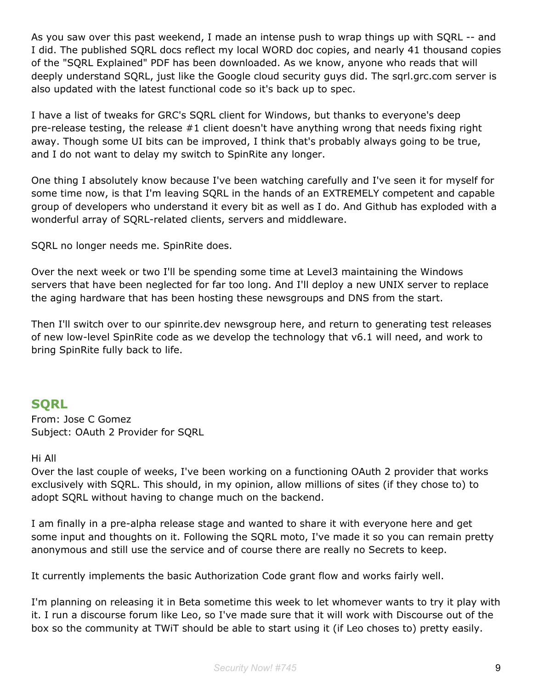As you saw over this past weekend, I made an intense push to wrap things up with SQRL -- and I did. The published SQRL docs reflect my local WORD doc copies, and nearly 41 thousand copies of the "SQRL Explained" PDF has been downloaded. As we know, anyone who reads that will deeply understand SQRL, just like the Google cloud security guys did. The sqrl.grc.com server is also updated with the latest functional code so it's back up to spec.

I have a list of tweaks for GRC's SQRL client for Windows, but thanks to everyone's deep pre-release testing, the release #1 client doesn't have anything wrong that needs fixing right away. Though some UI bits can be improved, I think that's probably always going to be true, and I do not want to delay my switch to SpinRite any longer.

One thing I absolutely know because I've been watching carefully and I've seen it for myself for some time now, is that I'm leaving SQRL in the hands of an EXTREMELY competent and capable group of developers who understand it every bit as well as I do. And Github has exploded with a wonderful array of SQRL-related clients, servers and middleware.

SQRL no longer needs me. SpinRite does.

Over the next week or two I'll be spending some time at Level3 maintaining the Windows servers that have been neglected for far too long. And I'll deploy a new UNIX server to replace the aging hardware that has been hosting these newsgroups and DNS from the start.

Then I'll switch over to our spinrite.dev newsgroup here, and return to generating test releases of new low-level SpinRite code as we develop the technology that v6.1 will need, and work to bring SpinRite fully back to life.

### **SQRL**

From: Jose C Gomez Subject: OAuth 2 Provider for SQRL

#### Hi All

Over the last couple of weeks, I've been working on a functioning OAuth 2 provider that works exclusively with SQRL. This should, in my opinion, allow millions of sites (if they chose to) to adopt SQRL without having to change much on the backend.

I am finally in a pre-alpha release stage and wanted to share it with everyone here and get some input and thoughts on it. Following the SQRL moto, I've made it so you can remain pretty anonymous and still use the service and of course there are really no Secrets to keep.

It currently implements the basic Authorization Code grant flow and works fairly well.

I'm planning on releasing it in Beta sometime this week to let whomever wants to try it play with it. I run a discourse forum like Leo, so I've made sure that it will work with Discourse out of the box so the community at TWiT should be able to start using it (if Leo choses to) pretty easily.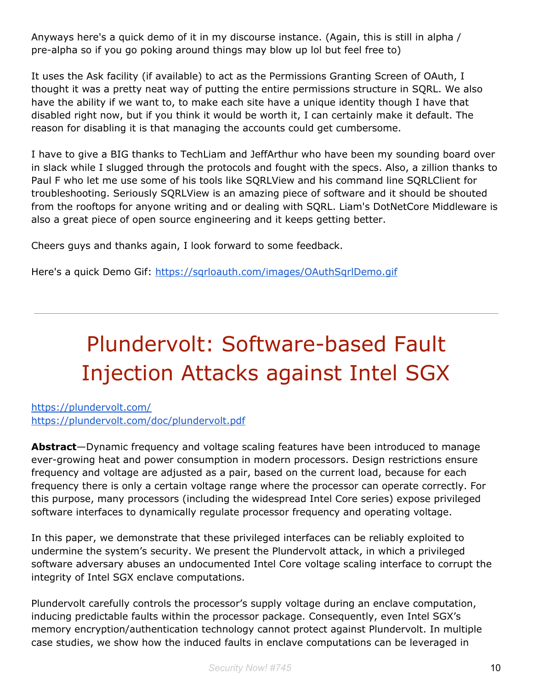Anyways here's a quick demo of it in my discourse instance. (Again, this is still in alpha / pre-alpha so if you go poking around things may blow up lol but feel free to)

It uses the Ask facility (if available) to act as the Permissions Granting Screen of OAuth, I thought it was a pretty neat way of putting the entire permissions structure in SQRL. We also have the ability if we want to, to make each site have a unique identity though I have that disabled right now, but if you think it would be worth it, I can certainly make it default. The reason for disabling it is that managing the accounts could get cumbersome.

I have to give a BIG thanks to TechLiam and JeffArthur who have been my sounding board over in slack while I slugged through the protocols and fought with the specs. Also, a zillion thanks to Paul F who let me use some of his tools like SQRLView and his command line SQRLClient for troubleshooting. Seriously SQRLView is an amazing piece of software and it should be shouted from the rooftops for anyone writing and or dealing with SQRL. Liam's DotNetCore Middleware is also a great piece of open source engineering and it keeps getting better.

Cheers guys and thanks again, I look forward to some feedback.

Here's a quick Demo Gif: <https://sqrloauth.com/images/OAuthSqrlDemo.gif>

# Plundervolt: Software-based Fault Injection Attacks against Intel SGX

<https://plundervolt.com/> <https://plundervolt.com/doc/plundervolt.pdf>

**Abstract**—Dynamic frequency and voltage scaling features have been introduced to manage ever-growing heat and power consumption in modern processors. Design restrictions ensure frequency and voltage are adjusted as a pair, based on the current load, because for each frequency there is only a certain voltage range where the processor can operate correctly. For this purpose, many processors (including the widespread Intel Core series) expose privileged software interfaces to dynamically regulate processor frequency and operating voltage.

In this paper, we demonstrate that these privileged interfaces can be reliably exploited to undermine the system's security. We present the Plundervolt attack, in which a privileged software adversary abuses an undocumented Intel Core voltage scaling interface to corrupt the integrity of Intel SGX enclave computations.

Plundervolt carefully controls the processor's supply voltage during an enclave computation, inducing predictable faults within the processor package. Consequently, even Intel SGX's memory encryption/authentication technology cannot protect against Plundervolt. In multiple case studies, we show how the induced faults in enclave computations can be leveraged in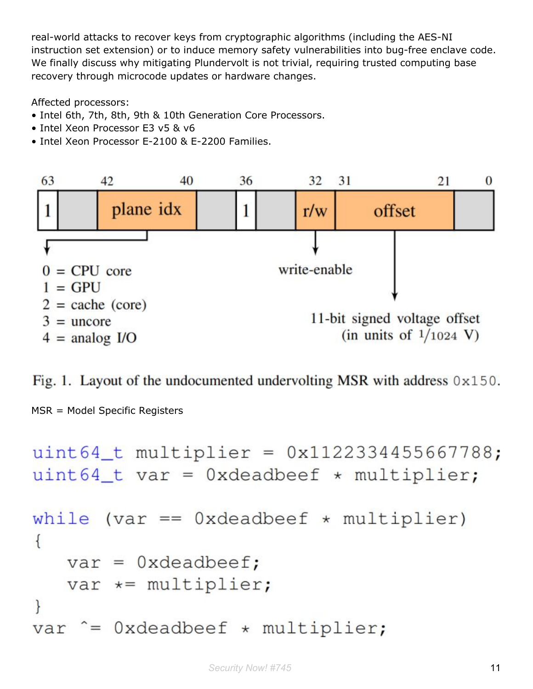real-world attacks to recover keys from cryptographic algorithms (including the AES-NI instruction set extension) or to induce memory safety vulnerabilities into bug-free enclave code. We finally discuss why mitigating Plundervolt is not trivial, requiring trusted computing base recovery through microcode updates or hardware changes.

Affected processors:

- Intel 6th, 7th, 8th, 9th & 10th Generation Core Processors.
- Intel Xeon Processor E3 v5 & v6
- Intel Xeon Processor E-2100 & E-2200 Families.



Fig. 1. Layout of the undocumented undervolting MSR with address 0x150.

MSR = Model Specific Registers

```
uint64_t multiplier = 0x1122334455667788;
uint64_t var = 0xdeadbeef * multiplier;
       \text{(var == 0} \times \text{deadbeef} \times \text{multiplier)}while
\{var = 0xdeadbeef;var *= multiplier;
\mathcal{E}var \hat{ } = 0xdeadbeef \star multiplier;
```